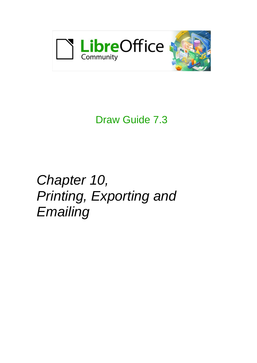

# Draw Guide 7.3

*Chapter 10, Printing, Exporting and Emailing*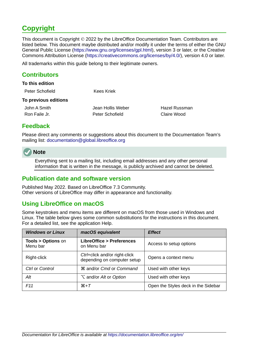# <span id="page-1-4"></span>**Copyright**

This document is Copyright © 2022 by the LibreOffice Documentation Team. Contributors are listed below. This document maybe distributed and/or modify it under the terms of either the GNU General Public License (<https://www.gnu.org/licenses/gpl.html>), version 3 or later, or the Creative Commons Attribution License (<https://creativecommons.org/licenses/by/4.0/>), version 4.0 or later.

All trademarks within this guide belong to their legitimate owners.

### <span id="page-1-3"></span>**Contributors**

#### **To this edition**

| Peter Schofield | <b>Kees Kriek</b> |
|-----------------|-------------------|
|                 |                   |

#### **To previous editions**

| John A Smith  |  |
|---------------|--|
| Ron Faile Jr. |  |

Jean Hollis Weber **Hazel Russman** Peter Schofield Claire Wood

# <span id="page-1-2"></span>**Feedback**

Please direct any comments or suggestions about this document to the Documentation Team's mailing list: [documentation@global.libreoffice.org](mailto:documentation@global.libreoffice.org)



Everything sent to a mailing list, including email addresses and any other personal information that is written in the message, is publicly archived and cannot be deleted.

### <span id="page-1-1"></span>**Publication date and software version**

Published May 2022. Based on LibreOffice 7.3 Community. Other versions of LibreOffice may differ in appearance and functionality.

# <span id="page-1-0"></span>**Using LibreOffice on macOS**

Some keystrokes and menu items are different on macOS from those used in Windows and Linux. The table below gives some common substitutions for the instructions in this document. For a detailed list, see the application Help.

| <b>Windows or Linux</b>                  | macOS equivalent<br><b>Effect</b>                            |                                     |
|------------------------------------------|--------------------------------------------------------------|-------------------------------------|
| <b>Tools &gt; Options on</b><br>Menu bar | <b>LibreOffice &gt; Preferences</b><br>on Menu bar           | Access to setup options             |
| Right-click                              | Ctrl+click and/or right-click<br>depending on computer setup | Opens a context menu                |
| Ctrl or Control                          | <b>\\$</b> and/or Cmd or Command                             | Used with other keys                |
| Alt                                      | <b>∖</b> and/or <i>Alt</i> or <i>Option</i>                  | Used with other keys                |
| F11                                      | $\mathcal{H} + \mathcal{T}$                                  | Open the Styles deck in the Sidebar |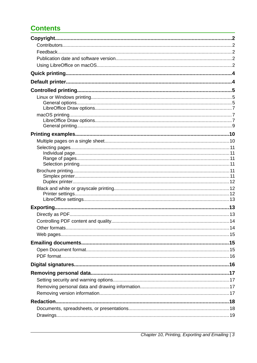# **Contents**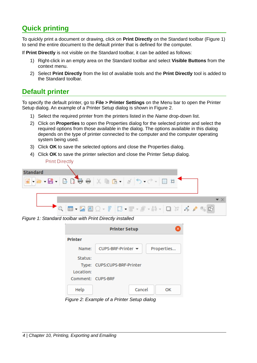# <span id="page-3-1"></span>**Quick printing**

To quickly print a document or drawing, click on **Print Directly** on the Standard toolbar (Figure [1](#page-3-2)) to send the entire document to the default printer that is defined for the computer.

If **Print Directly** is not visible on the Standard toolbar, it can be added as follows:

- 1) Right-click in an empty area on the Standard toolbar and select **Visible Buttons** from the context menu.
- 2) Select **Print Directly** from the list of available tools and the **Print Directly** tool is added to the Standard toolbar.

# <span id="page-3-0"></span>**Default printer**

To specify the default printer, go to **File > Printer Settings** on the Menu bar to open the Printer Setup dialog. An example of a Printer Setup dialog is shown in Figure [2.](#page-3-3)

- 1) Select the required printer from the printers listed in the *Name* drop-down list.
- 2) Click on **Properties** to open the Properties dialog for the selected printer and select the required options from those available in the dialog. The options available in this dialog depends on the type of printer connected to the computer and the computer operating system being used.
- 3) Click **OK** to save the selected options and close the Properties dialog.
- 4) Click **OK** to save the printer selection and close the Printer Setup dialog. **Print Directly**



*Figure 1: Standard toolbar with Print Directly installed*

<span id="page-3-2"></span>

|                   | <b>Printer Setup</b>                   |        |            |
|-------------------|----------------------------------------|--------|------------|
| <b>Printer</b>    |                                        |        |            |
| Name:             | CUPS-BRF-Printer $\blacktriangleright$ |        | Properties |
| Status:           |                                        |        |            |
|                   | Type: CUPS:CUPS-BRF-Printer            |        |            |
| Location:         |                                        |        |            |
| Comment: CUPS-BRF |                                        |        |            |
| Help              |                                        | Cancel | OК         |

<span id="page-3-3"></span>*Figure 2: Example of a Printer Setup dialog*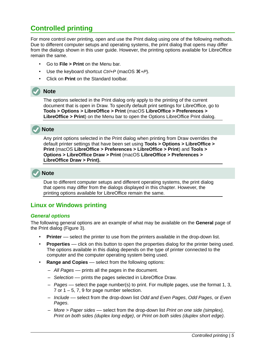# <span id="page-4-2"></span>**Controlled printing**

For more control over printing, open and use the Print dialog using one of the following methods. Due to different computer setups and operating systems, the print dialog that opens may differ from the dialogs shown in this user guide. However, the printing options available for LibreOffice remain the same.

- Go to **File > Print** on the Menu bar.
- Use the keyboard shortcut *Ctrl+P* (macOS ⌘*+P*).
- Click on **Print** on the Standard toolbar.

### **Note**

The options selected in the Print dialog only apply to the printing of the current document that is open in Draw. To specify default print settings for LibreOffice, go to **Tools > Options > LibreOffice > Print** (macOS **LibreOffice > Preferences > LibreOffice > Print**) on the Menu bar to open the Options LibreOffice Print dialog.

# **Note**

Any print options selected in the Print dialog when printing from Draw overrides the default printer settings that have been set using **Tools > Options > LibreOffice > Print** (macOS **LibreOffice > Preferences > LibreOffice > Print**) and **Tools > Options > LibreOffice Draw > Print** (macOS **LibreOffice > Preferences > LibreOffice Draw > Print).**

# **Note**

Due to different computer setups and different operating systems, the print dialog that opens may differ from the dialogs displayed in this chapter. However, the printing options available for LibreOffice remain the same.

# <span id="page-4-1"></span>**Linux or Windows printing**

#### <span id="page-4-0"></span>*General options*

The following general options are an example of what may be available on the **General** page of the Print dialog (Figure [3](#page-5-0)).

- **Printer** –– select the printer to use from the printers available in the drop-down list.
- **Properties** –– click on this button to open the properties dialog for the printer being used. The options available in this dialog depends on the type of printer connected to the computer and the computer operating system being used.
- **Range and Copies** –– select from the following options:
	- *All Pages* –– prints all the pages in the document.
	- *Selection* –– prints the pages selected in LibreOffice Draw.
	- *Pages* –– select the page number(s) to print. For multiple pages, use the format 1, 3, 7 or  $1 - 5$ , 7, 9 for page number selection.
	- *Include* –– select from the drop-down list *Odd and Even Pages*, *Odd Pages*, or *Even Pages*.
	- *More > Paper sides* –– select from the drop-down list *Print on one side (simplex), Print on both sides (duplex long edge)*, or *Print on both sides (duplex short edge)*.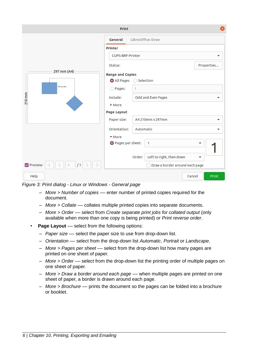|                    | Print                   |                                    | ×               |
|--------------------|-------------------------|------------------------------------|-----------------|
|                    | General                 | LibreOffice Draw                   |                 |
|                    | Printer                 |                                    |                 |
|                    | <b>CUPS-BRF-Printer</b> |                                    | ▼               |
|                    | Status:                 |                                    | Properties      |
| 297 mm (A4)        | Range and Copies        |                                    |                 |
|                    | All Pages               | ○ Selection                        |                 |
| This is a test     | O Pages:                | 1                                  |                 |
| 210 mm             | Include:                | Odd and Even Pages                 | ▼               |
|                    | • More                  |                                    |                 |
|                    | Page Layout             |                                    |                 |
|                    | Paper size:             | A4 210mm x 297mm                   | ▼               |
|                    | Orientation:            | Automatic                          |                 |
|                    | More                    |                                    |                 |
|                    | Pages per sheet:        | 1                                  | ▼               |
|                    |                         |                                    |                 |
|                    |                         | Left to right, then down<br>Order: | ▼               |
| Preview<br>/1<br>1 |                         | Draw a border around each page     |                 |
| Help               |                         |                                    | Print<br>Cancel |

*Figure 3: Print dialog - Linux or Windows - General page*

- <span id="page-5-0"></span>– *More > Number of copies* –– enter number of printed copies required for the document.
- *More > Collate* –– collates multiple printed copies into separate documents.
- *More > Order* –– select from *Create separate print jobs for collated output* (only available when more than one copy is being printed) or *Print reverse order*.
- **Page Layout** select from the following options:
	- *Paper size* –– select the paper size to use from drop-down list.
	- *Orientation* –– select from the drop-down list *Automatic*, *Portrait* or *Landscape*.
	- *More > Pages per sheet* –– select from the drop-down list how many pages are printed on one sheet of paper.
	- *More > Order* –– select from the drop-down list the printing order of multiple pages on one sheet of paper.
	- *More > Draw a border around each page* –– when multiple pages are printed on one sheet of paper, a border is drawn around each page.
	- *More > Brochure* –– prints the document so the pages can be folded into a brochure or booklet.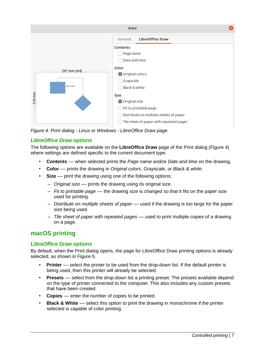

<span id="page-6-3"></span>*Figure 4: Print dialog - Linux or Windows - LibreOffice Draw page*

### <span id="page-6-2"></span>*LibreOffice Draw options*

The following options are available on the **LibreOffice Draw** page of the Print dialog (Figure [4\)](#page-6-3) where settings are defined specific to the current document type:

- **Contents** –– when selected prints the *Page name* and/or *Date and time* on the drawing.
- **Color** –– prints the drawing in *Original colors*, *Grayscale*, or *Black & white*.
- **Size** –– print the drawing using one of the following options:
	- *Original size* –– prints the drawing using its original size.
	- *Fit to printable page* –– the drawing size is changed so that it fits on the paper size used for printing.
	- *Distribute on multiple sheets of paper* –– used if the drawing is too large for the paper size being used.
	- *Tile sheet of paper with repeated pages* –– used to print multiple copies of a drawing on a page.

# <span id="page-6-1"></span>**macOS printing**

### <span id="page-6-0"></span>*LibreOffice Draw options*

By default, when the Print dialog opens, the page for LibreOffice Draw printing options is already selected, as shown in Figure [5](#page-7-0).

- **Printer** –– select the printer to be used from the drop-down list. If the default printer is being used, then this printer will already be selected.
- **Presets** –– select from the drop-down list a printing preset. The presets available depend on the type of printer connected to the computer. This also includes any custom presets that have been created.
- **Copies** –– enter the number of copies to be printed.
- **Black & White** –– select this option to print the drawing in monochrome if the printer selected is capable of color printing.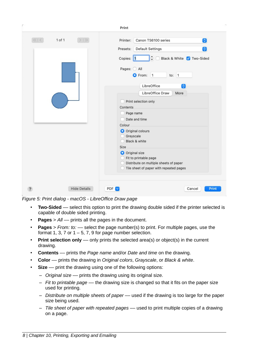

*Figure 5: Print dialog - macOS - LibreOffice Draw page*

- <span id="page-7-0"></span>**Two-Sided** — select this option to print the drawing double sided if the printer selected is capable of double sided printing.
- **Pages** > *All* –– prints all the pages in the document.
- **Pages** > *From: to:* –– select the page number(s) to print. For multiple pages, use the format 1, 3, 7 or  $1 - 5$ , 7, 9 for page number selection.
- **Print selection only** only prints the selected area(s) or object(s) in the current drawing.
- **Contents** –– prints the *Page name* and/or *Date and time* on the drawing.
- **Color** –– prints the drawing in *Original colors*, *Grayscale*, or *Black & white*.
- **Size** –– print the drawing using one of the following options:
	- *Original size* –– prints the drawing using its original size.
	- *Fit to printable page* –– the drawing size is changed so that it fits on the paper size used for printing.
	- *Distribute on multiple sheets of paper* –– used if the drawing is too large for the paper size being used.
	- *Tile sheet of paper with repeated pages* –– used to print multiple copies of a drawing on a page.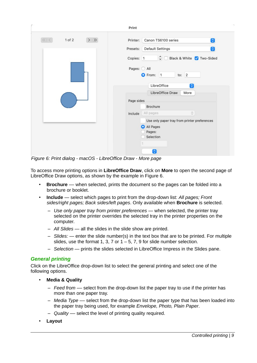|                        | Print                                        |
|------------------------|----------------------------------------------|
| 1 of 2<br>$>$ $\,$ $>$ | Canon TS6100 series<br>$\bullet$<br>Printer: |
|                        | Default Settings<br>Q<br>Presets:            |
|                        | Hack & White V Two-Sided<br>Copies: 1        |
|                        | Pages: O All<br>to: $2$<br>From: 1           |
|                        | LibreOffice<br>$\hat{\bm{\cdot} }$           |
|                        | LibreOffice Draw<br>More                     |
|                        | Page sides                                   |
|                        | Brochure                                     |
|                        | $\hat{\mathcal{C}}$<br>All pages<br>Include  |
|                        | Use only paper tray from printer preferences |
|                        | All Pages<br>Pages:<br>Selection             |
|                        |                                              |
|                        | $\ddot{\phantom{0}}$                         |

<span id="page-8-1"></span>*Figure 6: Print dialog - macOS - LibreOffice Draw - More page*

To access more printing options in **LibreOffice Draw**, click on **More** to open the second page of LibreOffice Draw options, as shown by the example in Figure [6](#page-8-1).

- **Brochure** –– when selected, prints the document so the pages can be folded into a brochure or booklet.
- **Include** select which pages to print from the drop-down list: *All pages; Front sides/right pages; Back sides/left pages*. Only available when **Brochure** is selected.
	- *Use only paper tray from printer preferences* when selected, the printer tray selected on the printer overrides the selected tray in the printer properties on the computer.
	- *All Slides* all the slides in the slide show are printed.
	- *Slides:* enter the slide number(s) in the text box that are to be printed. For multiple slides, use the format 1, 3, 7 or  $1 - 5$ , 7, 9 for slide number selection.
	- *Selection* prints the slides selected in LibreOffice Impress in the Slides pane.

#### <span id="page-8-0"></span>*General printing*

Click on the LibreOffice drop-down list to select the general printing and select one of the following options.

- **Media & Quality**
	- *Feed from* –– select from the drop-down list the paper tray to use if the printer has more than one paper tray.
	- *Media Type* –– select from the drop-down list the paper type that has been loaded into the paper tray being used, for example *Envelope, Photo, Plain Paper*.
	- *Quality* –– select the level of printing quality required.
- **Layout**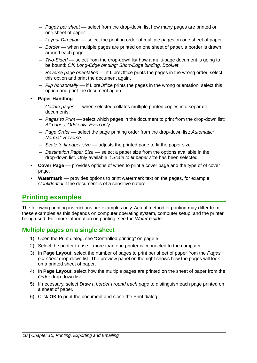- *Pages per sheet* –– select from the drop-down list how many pages are printed on one sheet of paper.
- *Layout Direction* –– select the printing order of multiple pages on one sheet of paper.
- *Border* –– when multiple pages are printed on one sheet of paper, a border is drawn around each page.
- *Two-Sided* –– select from the drop-down list how a multi-page document is going to be bound: *Off; Long-Edge binding; Short-Edge binding, Booklet*.
- *Reverse page orientation* –– if LibreOffice prints the pages in the wrong order, select this option and print the document again.
- *Flip horizontally* –– if LibreOffice prints the pages in the wrong orientation, select this option and print the document again.
- **Paper Handling**
	- *Collate pages* –– when selected collates multiple printed copies into separate documents.
	- *Pages to Print* –– select which pages in the document to print from the drop-down list: *All pages; Odd only; Even only*.
	- *Page Order* –– select the page printing order from the drop-down list: *Automatic; Normal; Reverse*.
	- *Scale to fit paper size* –– adjusts the printed page to fit the paper size.
	- *Destination Paper Size* –– select a paper size from the options available in the drop-down list. Only available if *Scale to fit paper size* has been selected.
- **Cover Page** –– provides options of when to print a cover page and the type of of cover page.
- **Watermark** –– provides options to print watermark text on the pages, for example *Confidential* if the document is of a sensitive nature.

# <span id="page-9-1"></span>**Printing examples**

The following printing instructions are examples only. Actual method of printing may differ from these examples as this depends on computer operating system, computer setup, and the printer being used. For more information on printing, see the *Writer Guide*.

### <span id="page-9-0"></span>**Multiple pages on a single sheet**

- 1) Open the Print dialog, see "[Controlled printing](#page-4-2)" on page [5.](#page-4-2)
- 2) Select the printer to use if more than one printer is connected to the computer.
- 3) In **Page Layout**, select the number of pages to print per sheet of paper from the *Pages per sheet* drop-down list. The preview panel on the right shows how the pages will look on a printed sheet of paper.
- 4) In **Page Layout**, select how the multiple pages are printed on the sheet of paper from the *Order* drop-down list.
- 5) If necessary, select *Draw a border around each page* to distinguish each page printed on a sheet of paper.
- 6) Click **OK** to print the document and close the Print dialog.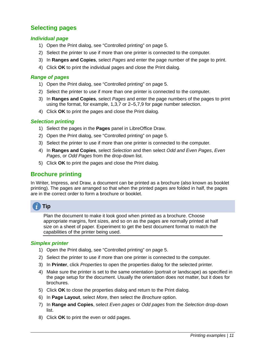# <span id="page-10-5"></span>**Selecting pages**

#### <span id="page-10-4"></span>*Individual page*

- 1) Open the Print dialog, see "[Controlled printing](#page-4-2)" on page [5.](#page-4-2)
- 2) Select the printer to use if more than one printer is connected to the computer.
- 3) In **Ranges and Copies**, select *Pages* and enter the page number of the page to print.
- 4) Click **OK** to print the individual pages and close the Print dialog.

#### <span id="page-10-3"></span>*Range of pages*

- 1) Open the Print dialog, see "[Controlled printing](#page-4-2)" on page [5.](#page-4-2)
- 2) Select the printer to use if more than one printer is connected to the computer.
- 3) In **Ranges and Copies**, select *Pages* and enter the page numbers of the pages to print using the format, for example, 1,3,7 or 2–5,7,9 for page number selection.
- 4) Click **OK** to print the pages and close the Print dialog.

#### <span id="page-10-2"></span>*Selection printing*

- 1) Select the pages in the **Pages** panel in LibreOffice Draw.
- 2) Open the Print dialog, see "[Controlled printing](#page-4-2)" on page [5.](#page-4-2)
- 3) Select the printer to use if more than one printer is connected to the computer.
- 4) In **Ranges and Copies**, select *Selection* and then select *Odd and Even Pages*, *Even Pages*, or *Odd Pages* from the drop-down list.
- 5) Click **OK** to print the pages and close the Print dialog.

### <span id="page-10-1"></span>**Brochure printing**

In Writer, Impress, and Draw, a document can be printed as a brochure (also known as booklet printing). The pages are arranged so that when the printed pages are folded in half, the pages are in the correct order to form a brochure or booklet.

# **Tip**

Plan the document to make it look good when printed as a brochure. Choose appropriate margins, font sizes, and so on as the pages are normally printed at half size on a sheet of paper. Experiment to get the best document format to match the capabilities of the printer being used.

#### <span id="page-10-0"></span>*Simplex printer*

- 1) Open the Print dialog, see "[Controlled printing](#page-4-2)" on page [5.](#page-4-2)
- 2) Select the printer to use if more than one printer is connected to the computer.
- 3) In **Printer**, click *Properties* to open the properties dialog for the selected printer.
- 4) Make sure the printer is set to the same orientation (portrait or landscape) as specified in the page setup for the document. Usually the orientation does not matter, but it does for brochures.
- 5) Click **OK** to close the properties dialog and return to the Print dialog.
- 6) In **Page Layout**, select *More*, then select the *Brochure* option.
- 7) In **Range and Copies**, select *Even pages* or *Odd pages* from the *Selection* drop-down list.
- 8) Click **OK** to print the even or odd pages.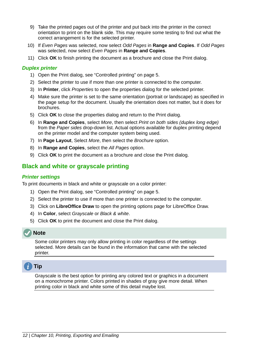- 9) Take the printed pages out of the printer and put back into the printer in the correct orientation to print on the blank side. This may require some testing to find out what the correct arrangement is for the selected printer.
- 10) If *Even Pages* was selected, now select *Odd Pages* in **Range and Copies**. If *Odd Pages* was selected, now select *Even Pages* in **Range and Copies**.
- 11) Click **OK** to finish printing the document as a brochure and close the Print dialog.

#### <span id="page-11-2"></span>*Duplex printer*

- 1) Open the Print dialog, see "[Controlled printing](#page-4-2)" on page [5.](#page-4-2)
- 2) Select the printer to use if more than one printer is connected to the computer.
- 3) In **Printer**, click *Properties* to open the properties dialog for the selected printer.
- 4) Make sure the printer is set to the same orientation (portrait or landscape) as specified in the page setup for the document. Usually the orientation does not matter, but it does for brochures.
- 5) Click **OK** to close the properties dialog and return to the Print dialog.
- 6) In **Range and Copies**, select *More*, then select *Print on both sides (duplex long edge)* from the *Paper sides* drop-down list. Actual options available for duplex printing depend on the printer model and the computer system being used.
- 7) In **Page Layout**, Select *More*, then select the *Brochure* option.
- 8) In **Range and Copies**, select the *All Pages* option.
- 9) Click **OK** to print the document as a brochure and close the Print dialog.

# <span id="page-11-1"></span>**Black and white or grayscale printing**

#### <span id="page-11-0"></span>*Printer settings*

To print documents in black and white or grayscale on a color printer:

- 1) Open the Print dialog, see "[Controlled printing](#page-4-2)" on page [5.](#page-4-2)
- 2) Select the printer to use if more than one printer is connected to the computer.
- 3) Click on **LibreOffice Draw** to open the printing options page for LibreOffice Draw.
- 4) In **Color**, select *Grayscale* or *Black & white*.
- 5) Click **OK** to print the document and close the Print dialog.

### **Note**

Some color printers may only allow printing in color regardless of the settings selected. More details can be found in the information that came with the selected printer.

# **Tip**

Grayscale is the best option for printing any colored text or graphics in a document on a monochrome printer. Colors printed in shades of gray give more detail. When printing color in black and white some of this detail maybe lost.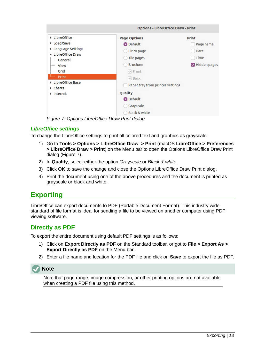|                             | <b>Options - LibreOffice Draw - Print</b> |              |  |
|-----------------------------|-------------------------------------------|--------------|--|
| ▶ LibreOffice               | <b>Page Options</b>                       | <b>Print</b> |  |
| ▶ Load/Save                 | O Default                                 | Page name    |  |
| ▶ Language Settings         | Fit to page                               | Date         |  |
| LibreOffice Draw<br>General | Tile pages                                | Time         |  |
| View                        | <b>Brochure</b>                           | Hidden pages |  |
| Grid                        | $\vee$ Front                              |              |  |
| Print                       | $\vee$ Back                               |              |  |
| LibreOffice Base<br>Charts  | Paper tray from printer settings          |              |  |
| Internet                    | Quality                                   |              |  |
|                             | O Default                                 |              |  |
|                             | Grayscale                                 |              |  |
|                             | Black & white                             |              |  |

<span id="page-12-3"></span>*Figure 7: Options LibreOffice Draw Print dialog*

### <span id="page-12-2"></span>*LibreOffice settings*

To change the LibreOffice settings to print all colored text and graphics as grayscale:

- 1) Go to **Tools > Options > LibreOffice Draw > Print** (macOS **LibreOffice > Preferences > LibreOffice Draw > Print**) on the Menu bar to open the Options LibreOffice Draw Print dialog (Figure [7](#page-12-3)).
- 2) In **Quality**, select either the option *Grayscale* or *Black & white*.
- 3) Click **OK** to save the change and close the Options LibreOffice Draw Print dialog.
- 4) Print the document using one of the above procedures and the document is printed as grayscale or black and white.

# <span id="page-12-1"></span>**Exporting**

LibreOffice can export documents to PDF (Portable Document Format). This industry wide standard of file format is ideal for sending a file to be viewed on another computer using PDF viewing software.

### <span id="page-12-0"></span>**Directly as PDF**

To export the entire document using default PDF settings is as follows:

- 1) Click on **Export Directly as PDF** on the Standard toolbar, or got to **File > Export As > Export Directly as PDF** on the Menu bar.
- 2) Enter a file name and location for the PDF file and click on **Save** to export the file as PDF.



Note that page range, image compression, or other printing options are not available when creating a PDF file using this method.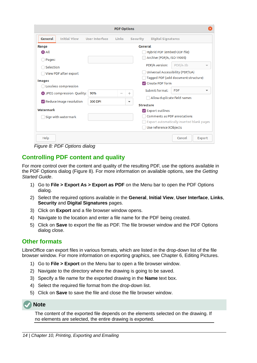|                                |                     |                | <b>PDF Options</b> |          |                                           |                             |        |
|--------------------------------|---------------------|----------------|--------------------|----------|-------------------------------------------|-----------------------------|--------|
| General                        | <b>Initial View</b> | User Interface | Links              | Security | <b>Digital Signatures</b>                 |                             |        |
| Range                          |                     |                |                    |          | General                                   |                             |        |
| <b>O</b> All                   |                     |                |                    |          | Hybrid PDF (embed ODF file)               |                             |        |
| Pages:                         |                     |                |                    |          | Archive (PDF/A, ISO 19005)                |                             |        |
| Selection                      |                     |                |                    |          | PDF/A version:                            | PDF/A-3b                    |        |
| View PDF after export          |                     |                |                    |          | Universal Accessibility (PDF/UA)          |                             |        |
|                                |                     |                |                    |          | Tagged PDF (add document structure)       |                             |        |
| <b>Images</b>                  |                     |                |                    |          | Create PDF form                           |                             |        |
| Lossless compression           |                     |                |                    |          | Submit format:                            | <b>FDF</b>                  |        |
| O JPEG compression Quality:    |                     | 90%            |                    | $^{+}$   |                                           |                             |        |
| $\vee$ Reduce image resolution |                     | 300 DPI        |                    | ▼        |                                           | Allow duplicate field names |        |
|                                |                     |                |                    |          | <b>Structure</b>                          |                             |        |
| Watermark                      |                     |                |                    |          | $\vee$ Export outlines                    |                             |        |
| Sign with watermark            |                     |                |                    |          | Comments as PDF annotations               |                             |        |
|                                |                     |                |                    |          | Export automatically inserted blank pages |                             |        |
|                                |                     |                |                    |          | Use reference XObjects                    |                             |        |
| Help                           |                     |                |                    |          |                                           | Cancel                      | Export |

<span id="page-13-2"></span>*Figure 8: PDF Options dialog*

# <span id="page-13-1"></span>**Controlling PDF content and quality**

For more control over the content and quality of the resulting PDF, use the options available in the PDF Options dialog (Figure [8\)](#page-13-2). For more information on available options, see the *Getting Started Guide*.

- 1) Go to **File > Export As > Export as PDF** on the Menu bar to open the PDF Options dialog.
- 2) Select the required options available in the **General**, **Initial View**, **User Interface**, **Links**, **Security** and **Digital Signatures** pages.
- 3) Click on **Export** and a file browser window opens.
- 4) Navigate to the location and enter a file name for the PDF being created.
- 5) Click on **Save** to export the file as PDF. The file browser window and the PDF Options dialog close.

### <span id="page-13-0"></span>**Other formats**

LibreOffice can export files in various formats, which are listed in the drop-down list of the file browser window. For more information on exporting graphics, see Chapter 6, Editing Pictures.

- 1) Go to **File > Export** on the Menu bar to open a file browser window.
- 2) Navigate to the directory where the drawing is going to be saved.
- 3) Specify a file name for the exported drawing in the **Name** text box.
- 4) Select the required file format from the drop-down list.
- 5) Click on **Save** to save the file and close the file browser window.

### **Note**

The content of the exported file depends on the elements selected on the drawing. If no elements are selected, the entire drawing is exported.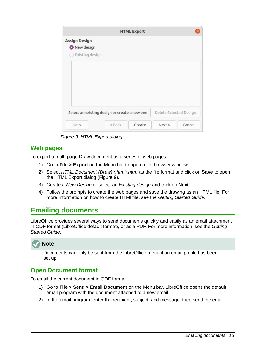|                      | <b>HTML Export</b>                            |                        |  |
|----------------------|-----------------------------------------------|------------------------|--|
| <b>Assign Design</b> |                                               |                        |  |
| New design           |                                               |                        |  |
| Existing design      |                                               |                        |  |
|                      |                                               |                        |  |
|                      |                                               |                        |  |
|                      |                                               |                        |  |
|                      |                                               |                        |  |
|                      |                                               |                        |  |
|                      |                                               |                        |  |
|                      |                                               |                        |  |
|                      |                                               |                        |  |
|                      | Select an existing design or create a new one | Delete Selected Design |  |

<span id="page-14-3"></span>*Figure 9: HTML Export dialog*

### <span id="page-14-2"></span>**Web pages**

To export a multi-page Draw document as a series of web pages:

- 1) Go to **File > Export** on the Menu bar to open a file browser window.
- 2) Select *HTML Document (Draw) (.html;.htm)* as the file format and click on **Save** to open the HTML Export dialog (Figure [9](#page-14-3)).
- 3) Create a *New Design* or select an *Existing design* and click on **Next**.
- 4) Follow the prompts to create the web pages and save the drawing as an HTML file. For more information on how to create HTMl file, see the *Getting Started Guide*.

# <span id="page-14-1"></span>**Emailing documents**

LibreOffice provides several ways to send documents quickly and easily as an email attachment in ODF format (LibreOffice default format), or as a PDF. For more information, see the *Getting Started Guide*.

# **Note**

Documents can only be sent from the LibreOffice menu if an email profile has been set up.

# <span id="page-14-0"></span>**Open Document format**

To email the current document in ODF format:

- 1) Go to **File > Send > Email Document** on the Menu bar. LibreOffice opens the default email program with the document attached to a new email.
- 2) In the email program, enter the recipient, subject, and message, then send the email.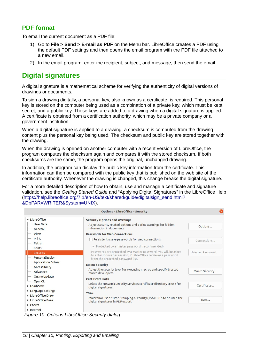## <span id="page-15-1"></span>**PDF format**

To email the current document as a PDF file:

- 1) Go to **File > Send > E-mail as PDF** on the Menu bar. LibreOffice creates a PDF using the default PDF settings and then opens the email program with the PDF file attached to a new email.
- 2) In the email program, enter the recipient, subject, and message, then send the email.

# <span id="page-15-0"></span>**Digital signatures**

A digital signature is a mathematical scheme for verifying the authenticity of digital versions of drawings or documents.

To sign a drawing digitally, a personal key, also known as a certificate, is required. This personal key is stored on the computer being used as a combination of a private key, which must be kept secret, and a public key. These keys are added to a drawing when a digital signature is applied. A certificate is obtained from a certification authority, which may be a private company or a government institution.

When a digital signature is applied to a drawing, a checksum is computed from the drawing content plus the personal key being used. The checksum and public key are stored together with the drawing.

When the drawing is opened on another computer with a recent version of LibreOffice, the program computes the checksum again and compares it with the stored checksum. If both checksums are the same, the program opens the original, unchanged drawing.

In addition, the program can display the public key information from the certificate. This information can then be compared with the public key that is published on the web site of the certificate authority. Whenever the drawing is changed, this change breaks the digital signature.

For a more detailed description of how to obtain, use and manage a certificate and signature validation, see the *Getting Started Guide* and "Applying Digital Signatures" in the LibreOffice Help ([https://help.libreoffice.org/7.1/en-US/text/shared/guide/digitalsign\\_send.html?](https://help.libreoffice.org/7.1/en-US/text/shared/guide/digitalsign_send.html?&DbPAR=WRITER&System=UNIX) [&DbPAR=WRITER&System=UNIX\)](https://help.libreoffice.org/7.1/en-US/text/shared/guide/digitalsign_send.html?&DbPAR=WRITER&System=UNIX).

|                                      | <b>Options - LibreOffice - Security</b>                                                                   |                 |
|--------------------------------------|-----------------------------------------------------------------------------------------------------------|-----------------|
| • LibreOffice                        | <b>Security Options and Warnings</b>                                                                      |                 |
| <b>User Data</b><br>General          | Adjust security related options and define warnings for hidden<br>information in documents.               | Options         |
| <b>View</b>                          | <b>Passwords for Web Connections</b>                                                                      |                 |
| Print                                | Persistently save passwords for web connections                                                           | Connections     |
| Paths<br>Fonts                       | $\vee$ Protected by a master password (recommended)                                                       |                 |
| Security                             | Passwords are protected by a master password. You will be asked                                           | Master Password |
| Personalization                      | to enter it once per session, if LibreOffice retrieves a password<br>from the protected password list.    |                 |
| <b>Application Colors</b>            | <b>Macro Security</b>                                                                                     |                 |
| Accessibility<br>Advanced            | Adjust the security level for executing macros and specify trusted<br>macro developers.                   | Macro Security  |
| Online Update                        | Certificate Path                                                                                          |                 |
| OpenCL<br>▶ Load/Save                | Select the Network Security Services certificate directory to use for<br>digital signatures.              | Certificate     |
| ▶ Language Settings                  | <b>TSAs</b>                                                                                               |                 |
| LibreOffice Draw<br>LibreOffice Base | Maintain a list of Time Stamping Authority (TSA) URLs to be used for<br>digital signatures in PDF export. | TSAs            |
| Charts<br>Internet                   |                                                                                                           |                 |

<span id="page-15-2"></span>*Figure 10: Options LibreOffice Security dialog*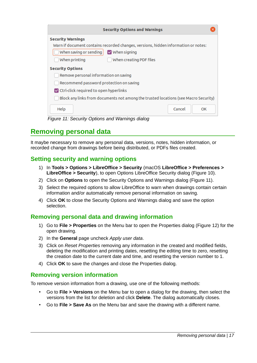| <b>Security Options and Warnings</b>                                                |
|-------------------------------------------------------------------------------------|
| <b>Security Warnings</b>                                                            |
| Warn if document contains recorded changes, versions, hidden information or notes:  |
| When saving or sending<br>$\vee$ When signing                                       |
| When printing<br>When creating PDF files                                            |
| <b>Security Options</b>                                                             |
| Remove personal information on saving                                               |
| Recommend password protection on saving                                             |
| $\triangledown$ Ctrl-click required to open hyperlinks                              |
| Block any links from documents not among the trusted locations (see Macro Security) |
| Help<br>Cancel<br>OK                                                                |

<span id="page-16-4"></span>*Figure 11: Security Options and Warnings dialog*

# <span id="page-16-3"></span>**Removing personal data**

It maybe necessary to remove any personal data, versions, notes, hidden information, or recorded change from drawings before being distributed, or PDFs files created.

### <span id="page-16-2"></span>**Setting security and warning options**

- 1) In **Tools > Options > LibreOffice > Security** (macOS **LibreOffice > Preferences > LibreOffice > Security**), to open Options LibreOffice Security dialog (Figure [10\)](#page-15-2).
- 2) Click on **Options** to open the Security Options and Warnings dialog (Figure [11\)](#page-16-4).
- 3) Select the required options to allow LibreOffice to warn when drawings contain certain information and/or automatically remove personal information on saving.
- 4) Click **OK** to close the Security Options and Warnings dialog and save the option selection.

# <span id="page-16-1"></span>**Removing personal data and drawing information**

- 1) Go to **File > Properties** on the Menu bar to open the Properties dialog (Figure [12\)](#page-17-2) for the open drawing.
- 2) In the **General** page uncheck *Apply user data*.
- 3) Click on *Reset Properties* removing any information in the created and modified fields, deleting the modification and printing dates, resetting the editing time to zero, resetting the creation date to the current date and time, and resetting the version number to 1.
- 4) Click **OK** to save the changes and close the Properties dialog.

### <span id="page-16-0"></span>**Removing version information**

To remove version information from a drawing, use one of the following methods:

- Go to **File > Versions** on the Menu bar to open a dialog for the drawing, then select the versions from the list for deletion and click **Delete**. The dialog automatically closes.
- Go to **File > Save As** on the Menu bar and save the drawing with a different name.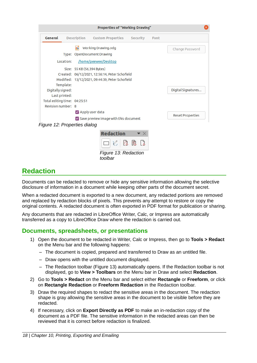| General                                         | Description | <b>Custom Properties</b>   | Security                      | Font |                         |
|-------------------------------------------------|-------------|----------------------------|-------------------------------|------|-------------------------|
|                                                 | m           | Working Drawing.odg        |                               |      | Change Password         |
|                                                 |             | Type: OpenDocument Drawing |                               |      |                         |
| Location:                                       |             | /home/peewee/Desktop       |                               |      |                         |
| Size: 55 KB (56,394 Bytes)                      |             |                            |                               |      |                         |
| Created: 06/12/2021, 12:56:14, Peter Schofield  |             |                            |                               |      |                         |
| Modified: 13/12/2021, 09:44:39, Peter Schofield |             |                            |                               |      |                         |
| Template:                                       |             |                            |                               |      |                         |
| Digitally signed:                               |             |                            |                               |      | Digital Signatures      |
| Last printed:                                   |             |                            |                               |      |                         |
| Total editing time: 04:25:51                    |             |                            |                               |      |                         |
| Revision number: 8                              |             |                            |                               |      |                         |
|                                                 |             | Apply user data            |                               |      | <b>Reset Properties</b> |
| Save preview image with this document           |             |                            |                               |      |                         |
| Figure 12: Properties dialog                    |             |                            |                               |      |                         |
|                                                 |             | Redaction                  | $\blacktriangledown$ $\times$ |      |                         |
|                                                 |             |                            |                               |      |                         |
|                                                 |             |                            |                               |      |                         |

<span id="page-17-3"></span><span id="page-17-2"></span>*Figure 13: Redaction toolbar*

# <span id="page-17-1"></span>**Redaction**

Documents can be redacted to remove or hide any sensitive information allowing the selective disclosure of information in a document while keeping other parts of the document secret.

When a redacted document is exported to a new document, any redacted portions are removed and replaced by redaction blocks of pixels. This prevents any attempt to restore or copy the original contents. A redacted document is often exported in PDF format for publication or sharing.

Any documents that are redacted in LibreOffice Writer, Calc, or Impress are automatically transferred as a copy to LibreOffice Draw where the redaction is carried out.

### <span id="page-17-0"></span>**Documents, spreadsheets, or presentations**

- 1) Open the document to be redacted in Writer, Calc or Impress, then go to **Tools > Redact** on the Menu bar and the following happens:
	- The document is copied, prepared and transferred to Draw as an untitled file.
	- Draw opens with the untitled document displayed.
	- The Redaction toolbar (Figure [13](#page-17-3)) automatically opens. If the Redaction toolbar is not displayed, go to **View > Toolbars** on the Menu bar in Draw and select **Redaction**.
- 2) Go to **Tools > Redact** on the Menu bar and select either **Rectangle** or **Freeform**, or click on **Rectangle Redaction** or **Freeform Redaction** in the Redaction toolbar.
- 3) Draw the required shapes to redact the sensitive areas in the document. The redaction shape is gray allowing the sensitive areas in the document to be visible before they are redacted.
- 4) If necessary, click on **Export Directly as PDF** to make an in-redaction copy of the document as a PDF file. The sensitive information in the redacted areas can then be reviewed that it is correct before redaction is finalized.